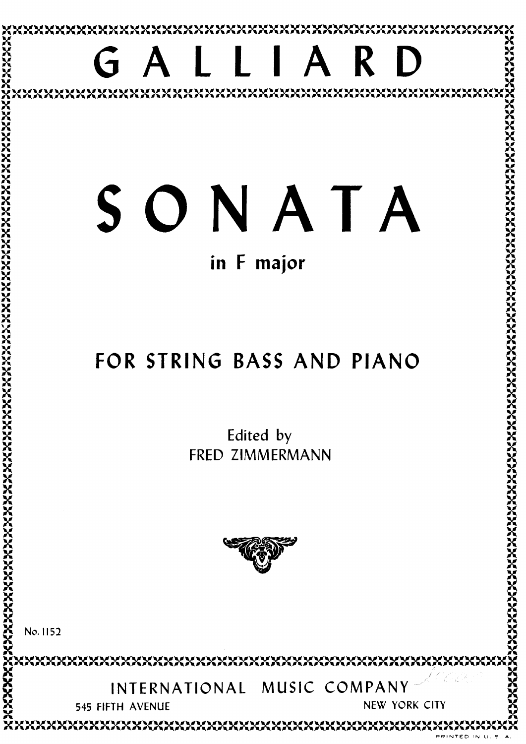# SONATA

GALLIARD

## in F major

# FOR STRING BASS AND PIANO

Edited by FRED ZIMMERMANN



**{XXXXXX** 

### INTERNATIONAL MUSIC COMPANY

**545 FIFTH AVENUE** 

**NEW YORK CITY** 

XXXXXXXXXXXXXXXXXXXXXX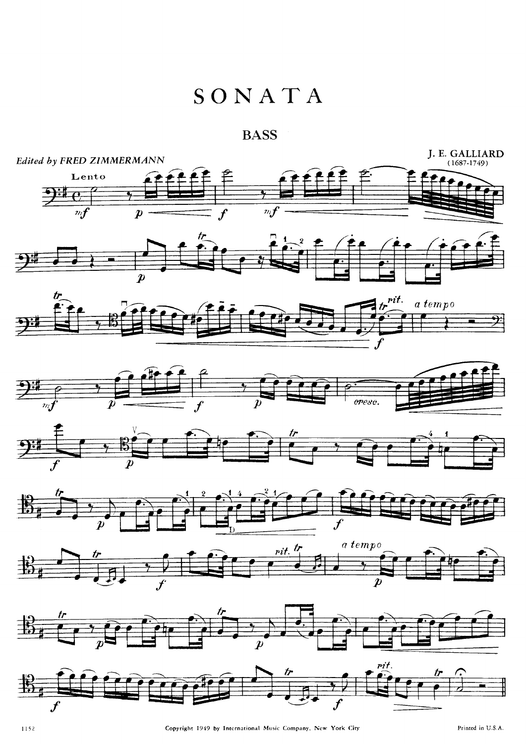### SONATA

```
BASS
```
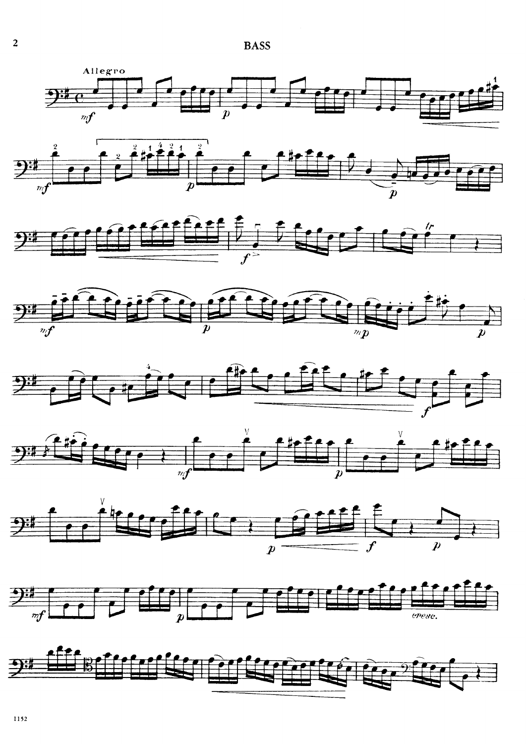**BASS** 















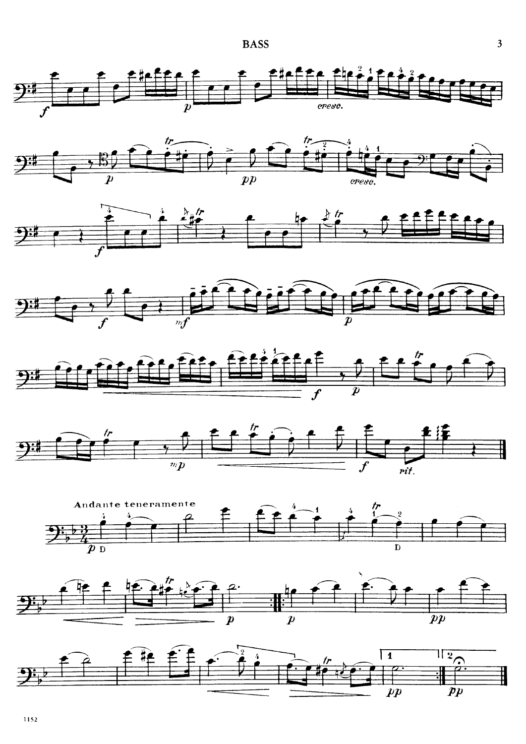**BASS** 

















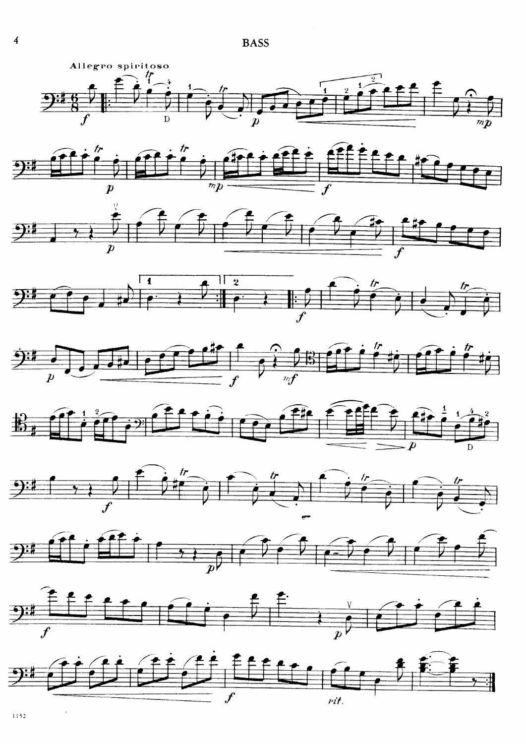**BASS** 

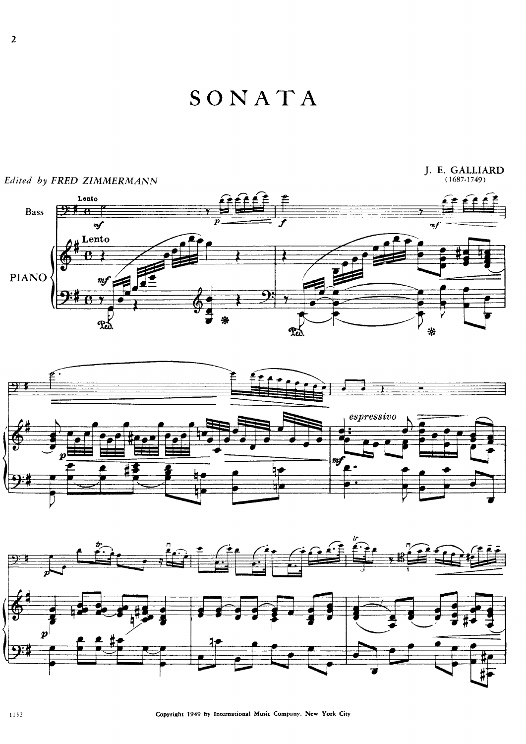SONATA



1152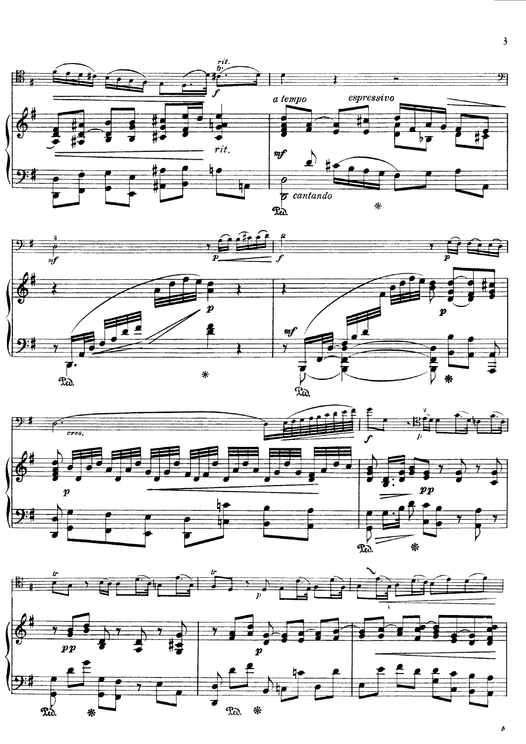





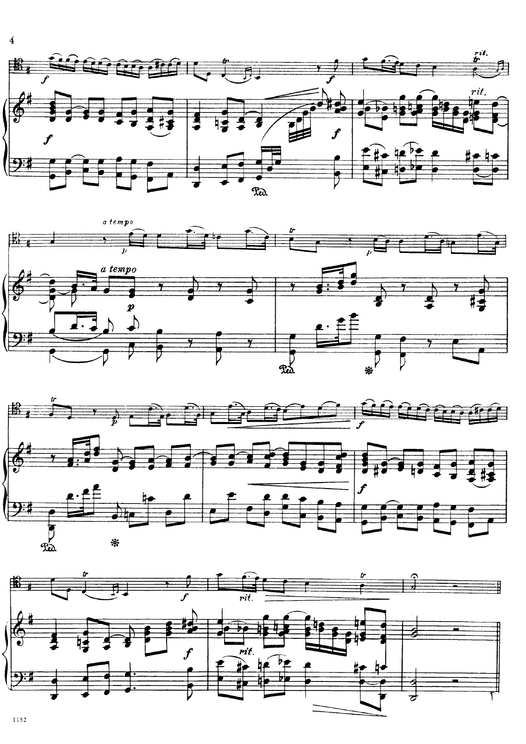





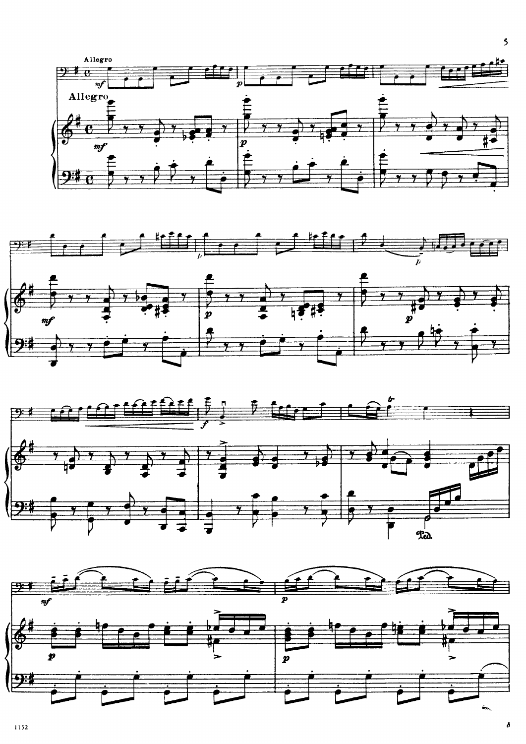





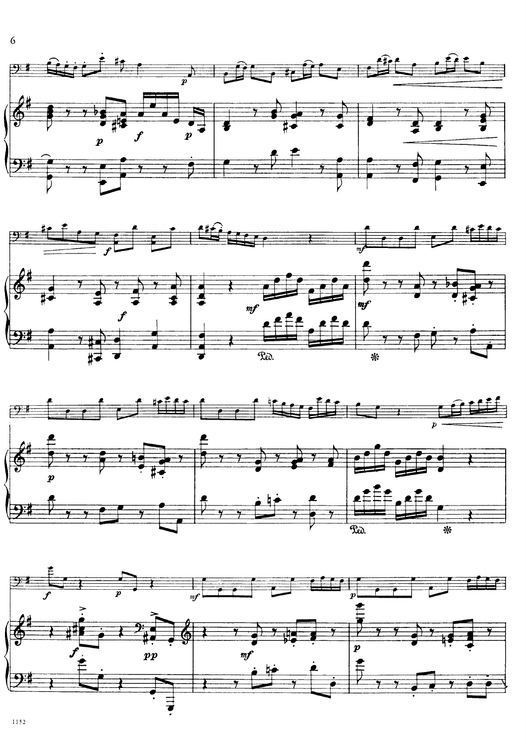





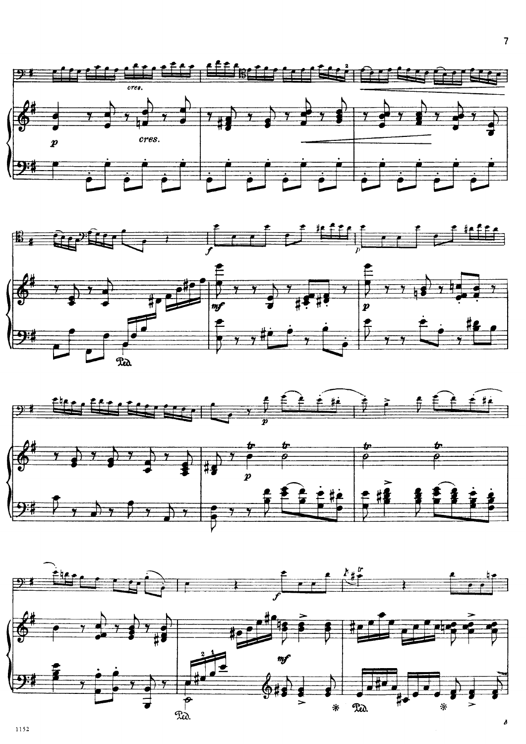





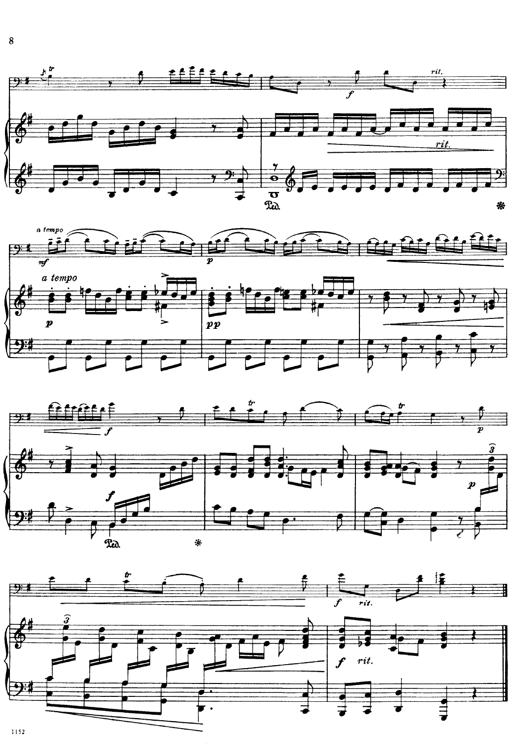





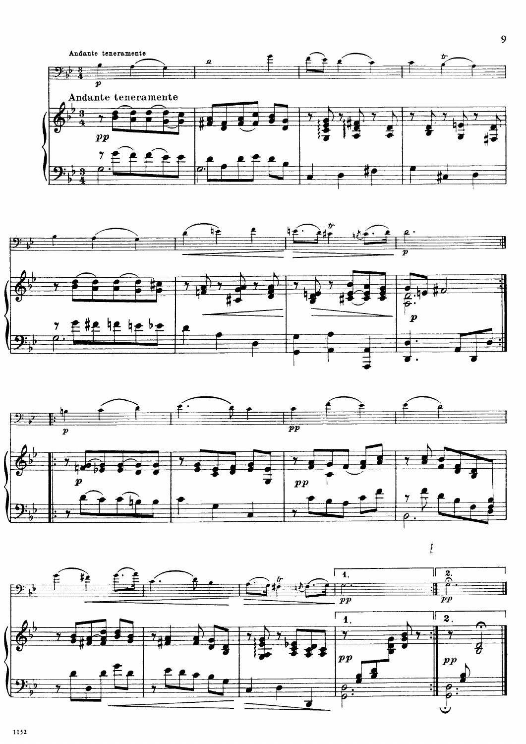





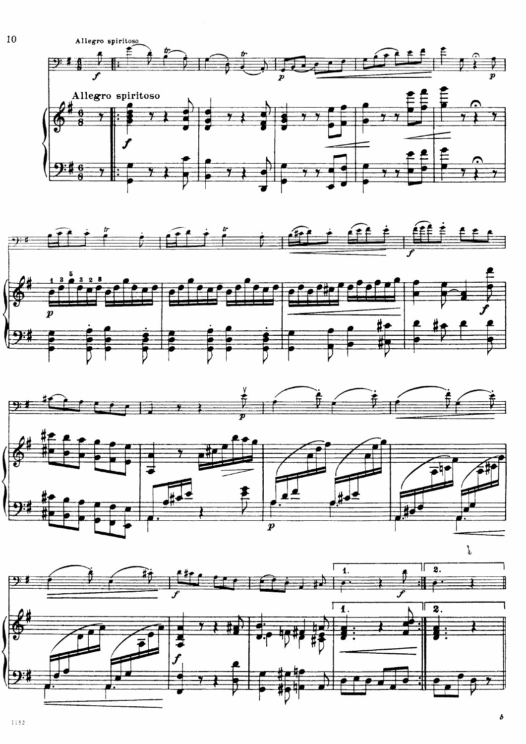





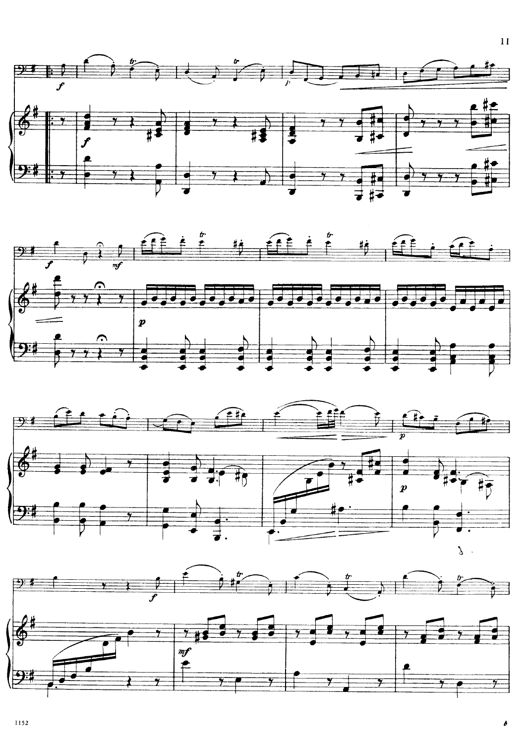